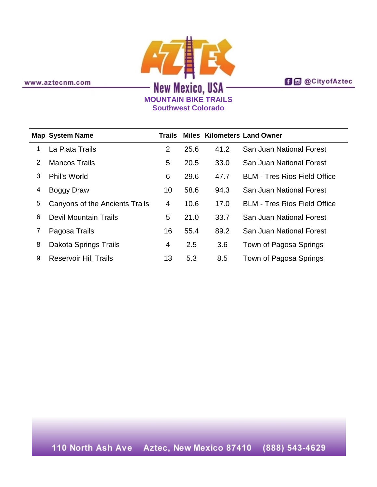**f d** @ City of Aztec

www.aztecnm.com

## **AZIEK MOUNTAIN BIKE TRAILS Southwest Colorado**

|   | <b>Map System Name</b>         | Trails         |      |      | <b>Miles Kilometers Land Owner</b>  |
|---|--------------------------------|----------------|------|------|-------------------------------------|
| 1 | La Plata Trails                | $\overline{2}$ | 25.6 | 41.2 | San Juan National Forest            |
| 2 | <b>Mancos Trails</b>           | 5              | 20.5 | 33.0 | San Juan National Forest            |
| 3 | Phil's World                   | 6              | 29.6 | 47.7 | <b>BLM - Tres Rios Field Office</b> |
| 4 | Boggy Draw                     | 10             | 58.6 | 94.3 | <b>San Juan National Forest</b>     |
| 5 | Canyons of the Ancients Trails | 4              | 10.6 | 17.0 | <b>BLM - Tres Rios Field Office</b> |
| 6 | <b>Devil Mountain Trails</b>   | 5              | 21.0 | 33.7 | San Juan National Forest            |
| 7 | Pagosa Trails                  | 16             | 55.4 | 89.2 | San Juan National Forest            |
| 8 | Dakota Springs Trails          | 4              | 2.5  | 3.6  | Town of Pagosa Springs              |
| 9 | <b>Reservoir Hill Trails</b>   | 13             | 5.3  | 8.5  | Town of Pagosa Springs              |